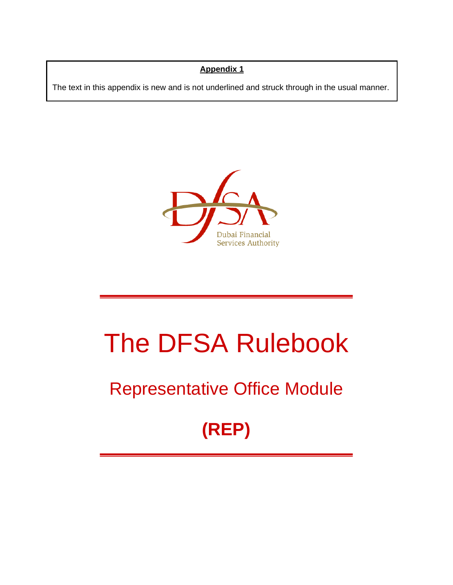## **Appendix 1**

The text in this appendix is new and is not underlined and struck through in the usual manner.



# The DFSA Rulebook

## Representative Office Module

## **(REP)**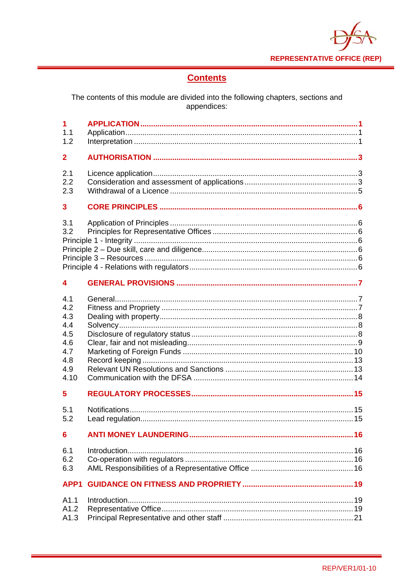**REPRESENTATIVE OFFICE (REP)** 

## **Contents**

The contents of this module are divided into the following chapters, sections and<br>appendices:

| 1<br>1.1<br>1.2                                                     |  |
|---------------------------------------------------------------------|--|
| $\mathbf{2}$                                                        |  |
| 2.1<br>2.2<br>2.3                                                   |  |
| 3                                                                   |  |
| 3.1<br>3.2                                                          |  |
| 4                                                                   |  |
| 4.1<br>4.2<br>4.3<br>4.4<br>4.5<br>4.6<br>4.7<br>4.8<br>4.9<br>4.10 |  |
| 5                                                                   |  |
| 5.1<br>5.2                                                          |  |
| 6                                                                   |  |
| 6.1<br>6.2<br>6.3                                                   |  |
| APP1                                                                |  |
| A1.1<br>A1.2<br>A1.3                                                |  |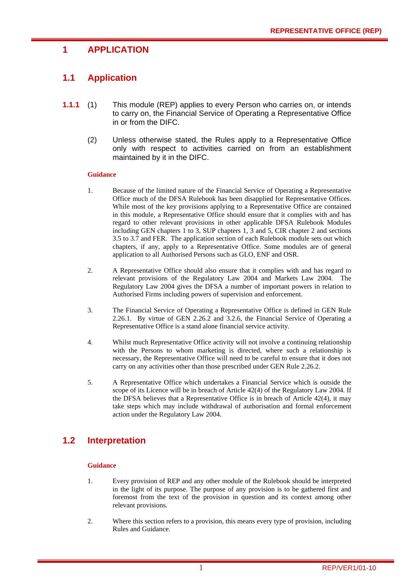## **1 APPLICATION**

## **1.1 Application**

- **1.1.1** (1) This module (REP) applies to every Person who carries on, or intends to carry on, the Financial Service of Operating a Representative Office in or from the DIFC.
	- (2) Unless otherwise stated, the Rules apply to a Representative Office only with respect to activities carried on from an establishment maintained by it in the DIFC.

#### **Guidance**

- 1. Because of the limited nature of the Financial Service of Operating a Representative Office much of the DFSA Rulebook has been disapplied for Representative Offices. While most of the key provisions applying to a Representative Office are contained in this module, a Representative Office should ensure that it complies with and has regard to other relevant provisions in other applicable DFSA Rulebook Modules including GEN chapters 1 to 3, SUP chapters 1, 3 and 5, CIR chapter 2 and sections 3.5 to 3.7 and FER. The application section of each Rulebook module sets out which chapters, if any, apply to a Representative Office. Some modules are of general application to all Authorised Persons such as GLO, ENF and OSR.
- 2. A Representative Office should also ensure that it complies with and has regard to relevant provisions of the Regulatory Law 2004 and Markets Law 2004. The Regulatory Law 2004 gives the DFSA a number of important powers in relation to Authorised Firms including powers of supervision and enforcement.
- 3. The Financial Service of Operating a Representative Office is defined in GEN Rule 2.26.1. By virtue of GEN 2.26.2 and 3.2.6, the Financial Service of Operating a Representative Office is a stand alone financial service activity.
- 4. Whilst much Representative Office activity will not involve a continuing relationship with the Persons to whom marketing is directed, where such a relationship is necessary, the Representative Office will need to be careful to ensure that it does not carry on any activities other than those prescribed under GEN Rule 2.26.2.
- 5. A Representative Office which undertakes a Financial Service which is outside the scope of its Licence will be in breach of Article 42(4) of the Regulatory Law 2004. If the DFSA believes that a Representative Office is in breach of Article 42(4), it may take steps which may include withdrawal of authorisation and formal enforcement action under the Regulatory Law 2004.

## **1.2 Interpretation**

#### **Guidance**

- 1. Every provision of REP and any other module of the Rulebook should be interpreted in the light of its purpose. The purpose of any provision is to be gathered first and foremost from the text of the provision in question and its context among other relevant provisions.
- 2. Where this section refers to a provision, this means every type of provision, including Rules and Guidance.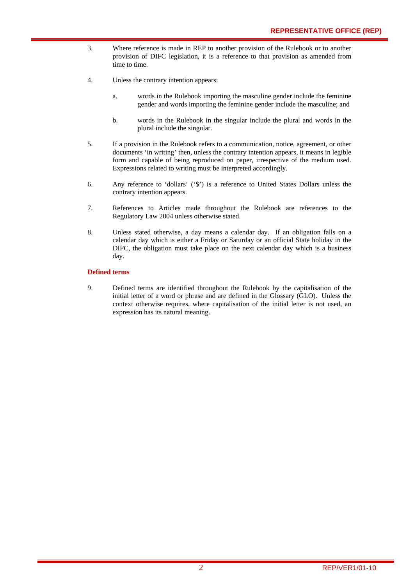- 3. Where reference is made in REP to another provision of the Rulebook or to another provision of DIFC legislation, it is a reference to that provision as amended from time to time.
- 4. Unless the contrary intention appears:
	- a. words in the Rulebook importing the masculine gender include the feminine gender and words importing the feminine gender include the masculine; and
	- b. words in the Rulebook in the singular include the plural and words in the plural include the singular.
- 5. If a provision in the Rulebook refers to a communication, notice, agreement, or other documents 'in writing' then, unless the contrary intention appears, it means in legible form and capable of being reproduced on paper, irrespective of the medium used. Expressions related to writing must be interpreted accordingly.
- 6. Any reference to 'dollars' ('\$') is a reference to United States Dollars unless the contrary intention appears.
- 7. References to Articles made throughout the Rulebook are references to the Regulatory Law 2004 unless otherwise stated.
- 8. Unless stated otherwise, a day means a calendar day. If an obligation falls on a calendar day which is either a Friday or Saturday or an official State holiday in the DIFC, the obligation must take place on the next calendar day which is a business day.

#### **Defined terms**

9. Defined terms are identified throughout the Rulebook by the capitalisation of the initial letter of a word or phrase and are defined in the Glossary (GLO). Unless the context otherwise requires, where capitalisation of the initial letter is not used, an expression has its natural meaning.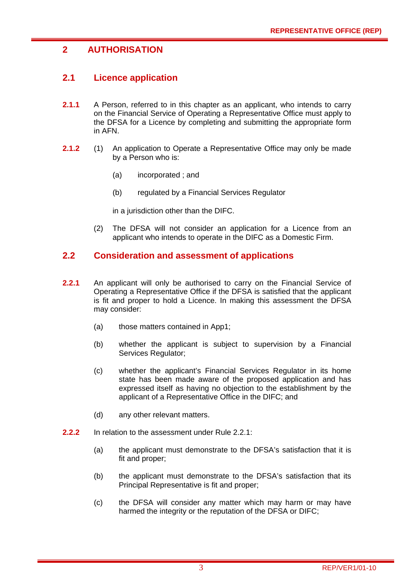## **2 AUTHORISATION**

## **2.1 Licence application**

- **2.1.1** A Person, referred to in this chapter as an applicant, who intends to carry on the Financial Service of Operating a Representative Office must apply to the DFSA for a Licence by completing and submitting the appropriate form in AFN.
- **2.1.2** (1) An application to Operate a Representative Office may only be made by a Person who is:
	- (a) incorporated ; and
	- (b) regulated by a Financial Services Regulator

in a jurisdiction other than the DIFC.

(2) The DFSA will not consider an application for a Licence from an applicant who intends to operate in the DIFC as a Domestic Firm.

## **2.2 Consideration and assessment of applications**

- **2.2.1** An applicant will only be authorised to carry on the Financial Service of Operating a Representative Office if the DFSA is satisfied that the applicant is fit and proper to hold a Licence. In making this assessment the DFSA may consider:
	- (a) those matters contained in App1;
	- (b) whether the applicant is subject to supervision by a Financial Services Regulator;
	- (c) whether the applicant's Financial Services Regulator in its home state has been made aware of the proposed application and has expressed itself as having no objection to the establishment by the applicant of a Representative Office in the DIFC; and
	- (d) any other relevant matters.
- **2.2.2** In relation to the assessment under Rule 2.2.1:
	- (a) the applicant must demonstrate to the DFSA's satisfaction that it is fit and proper;
	- (b) the applicant must demonstrate to the DFSA's satisfaction that its Principal Representative is fit and proper;
	- (c) the DFSA will consider any matter which may harm or may have harmed the integrity or the reputation of the DFSA or DIFC;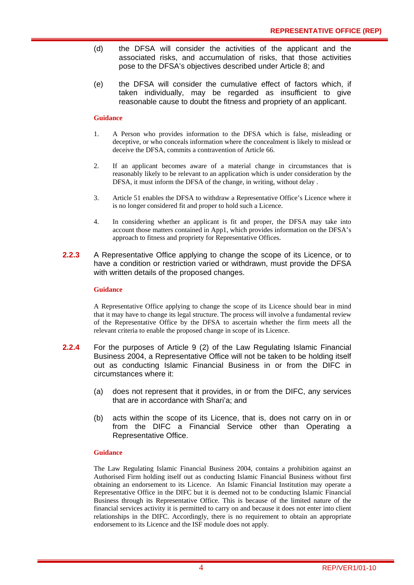- (d) the DFSA will consider the activities of the applicant and the associated risks, and accumulation of risks, that those activities pose to the DFSA's objectives described under Article 8; and
- (e) the DFSA will consider the cumulative effect of factors which, if taken individually, may be regarded as insufficient to give reasonable cause to doubt the fitness and propriety of an applicant.

#### **Guidance**

- 1. A Person who provides information to the DFSA which is false, misleading or deceptive, or who conceals information where the concealment is likely to mislead or deceive the DFSA, commits a contravention of Article 66.
- 2. If an applicant becomes aware of a material change in circumstances that is reasonably likely to be relevant to an application which is under consideration by the DFSA, it must inform the DFSA of the change, in writing, without delay .
- 3. Article 51 enables the DFSA to withdraw a Representative Office's Licence where it is no longer considered fit and proper to hold such a Licence.
- 4. In considering whether an applicant is fit and proper, the DFSA may take into account those matters contained in App1, which provides information on the DFSA's approach to fitness and propriety for Representative Offices.
- **2.2.3** A Representative Office applying to change the scope of its Licence, or to have a condition or restriction varied or withdrawn, must provide the DFSA with written details of the proposed changes.

#### **Guidance**

A Representative Office applying to change the scope of its Licence should bear in mind that it may have to change its legal structure. The process will involve a fundamental review of the Representative Office by the DFSA to ascertain whether the firm meets all the relevant criteria to enable the proposed change in scope of its Licence.

- **2.2.4** For the purposes of Article 9 (2) of the Law Regulating Islamic Financial Business 2004, a Representative Office will not be taken to be holding itself out as conducting Islamic Financial Business in or from the DIFC in circumstances where it:
	- (a) does not represent that it provides, in or from the DIFC, any services that are in accordance with Shari'a; and
	- (b) acts within the scope of its Licence, that is, does not carry on in or from the DIFC a Financial Service other than Operating a Representative Office.

#### **Guidance**

The Law Regulating Islamic Financial Business 2004, contains a prohibition against an Authorised Firm holding itself out as conducting Islamic Financial Business without first obtaining an endorsement to its Licence. An Islamic Financial Institution may operate a Representative Office in the DIFC but it is deemed not to be conducting Islamic Financial Business through its Representative Office. This is because of the limited nature of the financial services activity it is permitted to carry on and because it does not enter into client relationships in the DIFC. Accordingly, there is no requirement to obtain an appropriate endorsement to its Licence and the ISF module does not apply.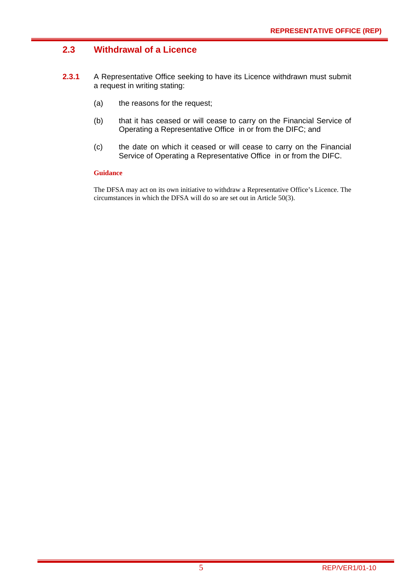## **2.3 Withdrawal of a Licence**

- **2.3.1** A Representative Office seeking to have its Licence withdrawn must submit a request in writing stating:
	- (a) the reasons for the request;
	- (b) that it has ceased or will cease to carry on the Financial Service of Operating a Representative Office in or from the DIFC; and
	- (c) the date on which it ceased or will cease to carry on the Financial Service of Operating a Representative Office in or from the DIFC.

#### **Guidance**

The DFSA may act on its own initiative to withdraw a Representative Office's Licence. The circumstances in which the DFSA will do so are set out in Article 50(3).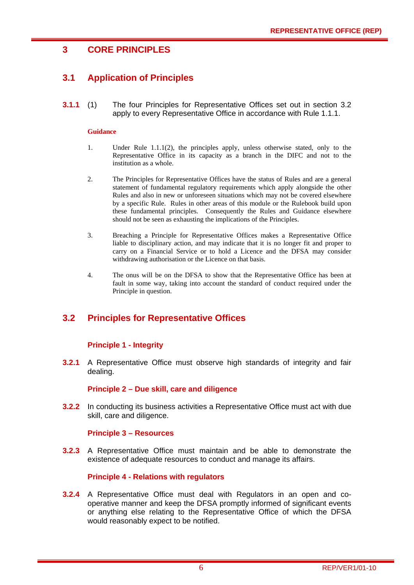## **3 CORE PRINCIPLES**

## **3.1 Application of Principles**

**3.1.1** (1) The four Principles for Representative Offices set out in section 3.2 apply to every Representative Office in accordance with Rule 1.1.1.

#### **Guidance**

- 1. Under Rule 1.1.1(2), the principles apply, unless otherwise stated, only to the Representative Office in its capacity as a branch in the DIFC and not to the institution as a whole.
- 2. The Principles for Representative Offices have the status of Rules and are a general statement of fundamental regulatory requirements which apply alongside the other Rules and also in new or unforeseen situations which may not be covered elsewhere by a specific Rule. Rules in other areas of this module or the Rulebook build upon these fundamental principles. Consequently the Rules and Guidance elsewhere should not be seen as exhausting the implications of the Principles.
- 3. Breaching a Principle for Representative Offices makes a Representative Office liable to disciplinary action, and may indicate that it is no longer fit and proper to carry on a Financial Service or to hold a Licence and the DFSA may consider withdrawing authorisation or the Licence on that basis.
- 4. The onus will be on the DFSA to show that the Representative Office has been at fault in some way, taking into account the standard of conduct required under the Principle in question.

## **3.2 Principles for Representative Offices**

#### **Principle 1 - Integrity**

**3.2.1** A Representative Office must observe high standards of integrity and fair dealing.

#### **Principle 2 – Due skill, care and diligence**

**3.2.2** In conducting its business activities a Representative Office must act with due skill, care and diligence.

#### **Principle 3 – Resources**

**3.2.3** A Representative Office must maintain and be able to demonstrate the existence of adequate resources to conduct and manage its affairs.

#### **Principle 4 - Relations with regulators**

**3.2.4** A Representative Office must deal with Regulators in an open and cooperative manner and keep the DFSA promptly informed of significant events or anything else relating to the Representative Office of which the DFSA would reasonably expect to be notified.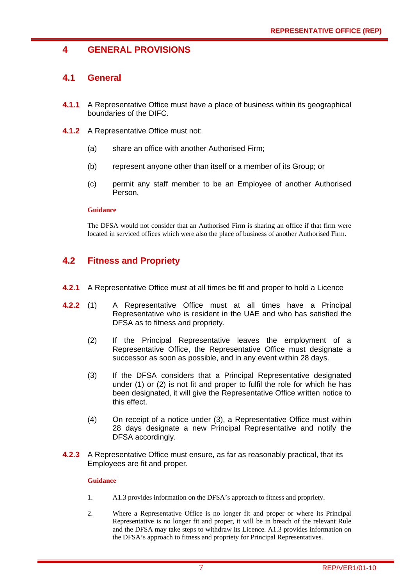## **4 GENERAL PROVISIONS**

## **4.1 General**

- **4.1.1** A Representative Office must have a place of business within its geographical boundaries of the DIFC.
- **4.1.2** A Representative Office must not:
	- (a) share an office with another Authorised Firm;
	- (b) represent anyone other than itself or a member of its Group; or
	- (c) permit any staff member to be an Employee of another Authorised Person.

#### **Guidance**

The DFSA would not consider that an Authorised Firm is sharing an office if that firm were located in serviced offices which were also the place of business of another Authorised Firm.

## **4.2 Fitness and Propriety**

- **4.2.1** A Representative Office must at all times be fit and proper to hold a Licence
- **4.2.2** (1) A Representative Office must at all times have a Principal Representative who is resident in the UAE and who has satisfied the DFSA as to fitness and propriety.
	- (2) If the Principal Representative leaves the employment of a Representative Office, the Representative Office must designate a successor as soon as possible, and in any event within 28 days.
	- (3) If the DFSA considers that a Principal Representative designated under (1) or (2) is not fit and proper to fulfil the role for which he has been designated, it will give the Representative Office written notice to this effect.
	- (4) On receipt of a notice under (3), a Representative Office must within 28 days designate a new Principal Representative and notify the DFSA accordingly.
- **4.2.3** A Representative Office must ensure, as far as reasonably practical, that its Employees are fit and proper.

#### **Guidance**

- 1. A1.3 provides information on the DFSA's approach to fitness and propriety.
- 2. Where a Representative Office is no longer fit and proper or where its Principal Representative is no longer fit and proper, it will be in breach of the relevant Rule and the DFSA may take steps to withdraw its Licence. A1.3 provides information on the DFSA's approach to fitness and propriety for Principal Representatives.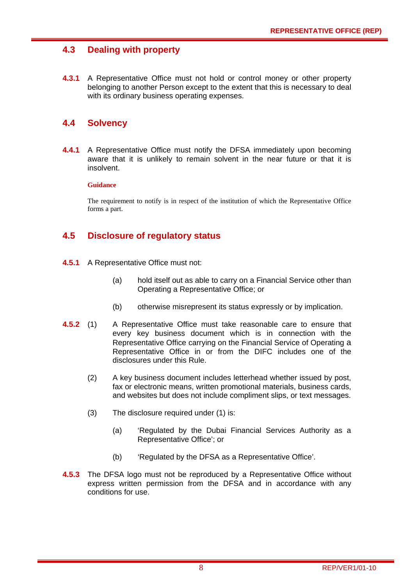## **4.3 Dealing with property**

**4.3.1** A Representative Office must not hold or control money or other property belonging to another Person except to the extent that this is necessary to deal with its ordinary business operating expenses.

## **4.4 Solvency**

**4.4.1** A Representative Office must notify the DFSA immediately upon becoming aware that it is unlikely to remain solvent in the near future or that it is insolvent.

#### **Guidance**

The requirement to notify is in respect of the institution of which the Representative Office forms a part.

## **4.5 Disclosure of regulatory status**

- **4.5.1** A Representative Office must not:
	- (a) hold itself out as able to carry on a Financial Service other than Operating a Representative Office; or
	- (b) otherwise misrepresent its status expressly or by implication.
- **4.5.2** (1) A Representative Office must take reasonable care to ensure that every key business document which is in connection with the Representative Office carrying on the Financial Service of Operating a Representative Office in or from the DIFC includes one of the disclosures under this Rule.
	- (2) A key business document includes letterhead whether issued by post, fax or electronic means, written promotional materials, business cards, and websites but does not include compliment slips, or text messages.
	- (3) The disclosure required under (1) is:
		- (a) 'Regulated by the Dubai Financial Services Authority as a Representative Office'; or
		- (b) 'Regulated by the DFSA as a Representative Office'.
- **4.5.3** The DFSA logo must not be reproduced by a Representative Office without express written permission from the DFSA and in accordance with any conditions for use.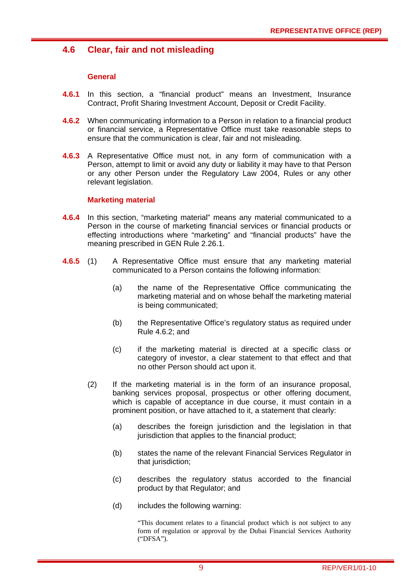## **4.6 Clear, fair and not misleading**

#### **General**

- **4.6.1** In this section, a "financial product" means an Investment, Insurance Contract, Profit Sharing Investment Account, Deposit or Credit Facility.
- **4.6.2** When communicating information to a Person in relation to a financial product or financial service, a Representative Office must take reasonable steps to ensure that the communication is clear, fair and not misleading.
- **4.6.3** A Representative Office must not, in any form of communication with a Person, attempt to limit or avoid any duty or liability it may have to that Person or any other Person under the Regulatory Law 2004, Rules or any other relevant legislation.

#### **Marketing material**

- **4.6.4** In this section, "marketing material" means any material communicated to a Person in the course of marketing financial services or financial products or effecting introductions where "marketing" and "financial products" have the meaning prescribed in GEN Rule 2.26.1.
- **4.6.5** (1) A Representative Office must ensure that any marketing material communicated to a Person contains the following information:
	- (a) the name of the Representative Office communicating the marketing material and on whose behalf the marketing material is being communicated;
	- (b) the Representative Office's regulatory status as required under Rule 4.6.2; and
	- (c) if the marketing material is directed at a specific class or category of investor, a clear statement to that effect and that no other Person should act upon it.
	- (2) If the marketing material is in the form of an insurance proposal, banking services proposal, prospectus or other offering document, which is capable of acceptance in due course, it must contain in a prominent position, or have attached to it, a statement that clearly:
		- (a) describes the foreign jurisdiction and the legislation in that jurisdiction that applies to the financial product;
		- (b) states the name of the relevant Financial Services Regulator in that jurisdiction;
		- (c) describes the regulatory status accorded to the financial product by that Regulator; and
		- (d) includes the following warning:

"This document relates to a financial product which is not subject to any form of regulation or approval by the Dubai Financial Services Authority ("DFSA").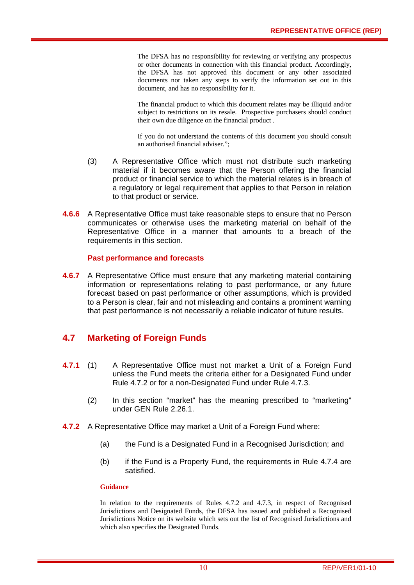The DFSA has no responsibility for reviewing or verifying any prospectus or other documents in connection with this financial product. Accordingly, the DFSA has not approved this document or any other associated documents nor taken any steps to verify the information set out in this document, and has no responsibility for it.

The financial product to which this document relates may be illiquid and/or subject to restrictions on its resale. Prospective purchasers should conduct their own due diligence on the financial product .

If you do not understand the contents of this document you should consult an authorised financial adviser.";

- (3) A Representative Office which must not distribute such marketing material if it becomes aware that the Person offering the financial product or financial service to which the material relates is in breach of a regulatory or legal requirement that applies to that Person in relation to that product or service.
- **4.6.6** A Representative Office must take reasonable steps to ensure that no Person communicates or otherwise uses the marketing material on behalf of the Representative Office in a manner that amounts to a breach of the requirements in this section.

#### **Past performance and forecasts**

**4.6.7** A Representative Office must ensure that any marketing material containing information or representations relating to past performance, or any future forecast based on past performance or other assumptions, which is provided to a Person is clear, fair and not misleading and contains a prominent warning that past performance is not necessarily a reliable indicator of future results.

## **4.7 Marketing of Foreign Funds**

- **4.7.1** (1) A Representative Office must not market a Unit of a Foreign Fund unless the Fund meets the criteria either for a Designated Fund under Rule 4.7.2 or for a non-Designated Fund under Rule 4.7.3.
	- (2) In this section "market" has the meaning prescribed to "marketing" under GEN Rule 2.26.1.
- **4.7.2** A Representative Office may market a Unit of a Foreign Fund where:
	- (a) the Fund is a Designated Fund in a Recognised Jurisdiction; and
	- (b) if the Fund is a Property Fund, the requirements in Rule 4.7.4 are satisfied.

#### **Guidance**

In relation to the requirements of Rules 4.7.2 and 4.7.3, in respect of Recognised Jurisdictions and Designated Funds, the DFSA has issued and published a Recognised Jurisdictions Notice on its website which sets out the list of Recognised Jurisdictions and which also specifies the Designated Funds.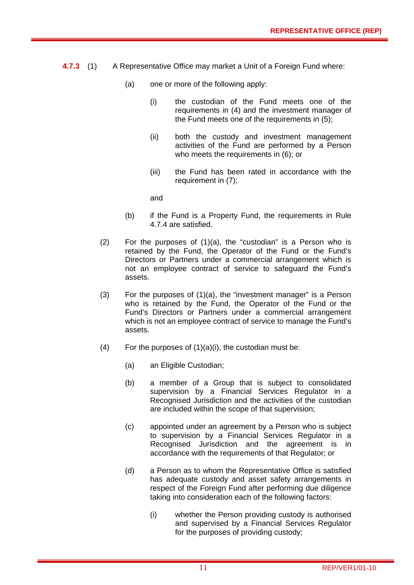- **4.7.3** (1) A Representative Office may market a Unit of a Foreign Fund where:
	- (a) one or more of the following apply:
		- (i) the custodian of the Fund meets one of the requirements in (4) and the investment manager of the Fund meets one of the requirements in (5);
		- (ii) both the custody and investment management activities of the Fund are performed by a Person who meets the requirements in (6); or
		- (iii) the Fund has been rated in accordance with the requirement in (7);

and

- (b) if the Fund is a Property Fund, the requirements in Rule 4.7.4 are satisfied.
- (2) For the purposes of (1)(a), the "custodian" is a Person who is retained by the Fund, the Operator of the Fund or the Fund's Directors or Partners under a commercial arrangement which is not an employee contract of service to safeguard the Fund's assets.
- (3) For the purposes of (1)(a), the "investment manager" is a Person who is retained by the Fund, the Operator of the Fund or the Fund's Directors or Partners under a commercial arrangement which is not an employee contract of service to manage the Fund's assets.
- (4) For the purposes of  $(1)(a)(i)$ , the custodian must be:
	- (a) an Eligible Custodian;
	- (b) a member of a Group that is subject to consolidated supervision by a Financial Services Regulator in a Recognised Jurisdiction and the activities of the custodian are included within the scope of that supervision;
	- (c) appointed under an agreement by a Person who is subject to supervision by a Financial Services Regulator in a Recognised Jurisdiction and the agreement is in accordance with the requirements of that Regulator; or
	- (d) a Person as to whom the Representative Office is satisfied has adequate custody and asset safety arrangements in respect of the Foreign Fund after performing due diligence taking into consideration each of the following factors:
		- (i) whether the Person providing custody is authorised and supervised by a Financial Services Regulator for the purposes of providing custody;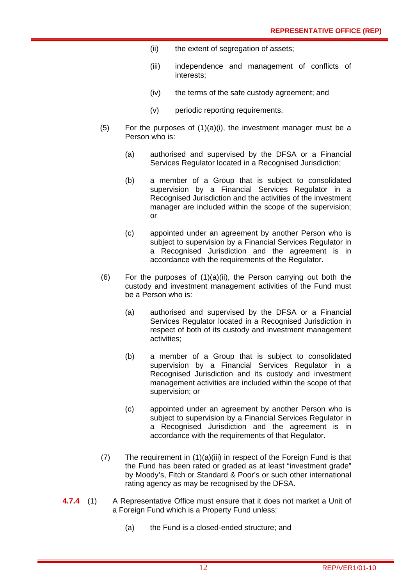- (ii) the extent of segregation of assets;
- (iii) independence and management of conflicts of interests;
- (iv) the terms of the safe custody agreement; and
- (v) periodic reporting requirements.
- $(5)$  For the purposes of  $(1)(a)(i)$ , the investment manager must be a Person who is:
	- (a) authorised and supervised by the DFSA or a Financial Services Regulator located in a Recognised Jurisdiction;
	- (b) a member of a Group that is subject to consolidated supervision by a Financial Services Regulator in a Recognised Jurisdiction and the activities of the investment manager are included within the scope of the supervision; or
	- (c) appointed under an agreement by another Person who is subject to supervision by a Financial Services Regulator in a Recognised Jurisdiction and the agreement is in accordance with the requirements of the Regulator.
- (6) For the purposes of  $(1)(a)(ii)$ , the Person carrying out both the custody and investment management activities of the Fund must be a Person who is:
	- (a) authorised and supervised by the DFSA or a Financial Services Regulator located in a Recognised Jurisdiction in respect of both of its custody and investment management activities;
	- (b) a member of a Group that is subject to consolidated supervision by a Financial Services Regulator in a Recognised Jurisdiction and its custody and investment management activities are included within the scope of that supervision; or
	- (c) appointed under an agreement by another Person who is subject to supervision by a Financial Services Regulator in a Recognised Jurisdiction and the agreement is in accordance with the requirements of that Regulator.
- (7) The requirement in (1)(a)(iii) in respect of the Foreign Fund is that the Fund has been rated or graded as at least "investment grade" by Moody's, Fitch or Standard & Poor's or such other international rating agency as may be recognised by the DFSA.
- **4.7.4** (1) A Representative Office must ensure that it does not market a Unit of a Foreign Fund which is a Property Fund unless:
	- (a) the Fund is a closed-ended structure; and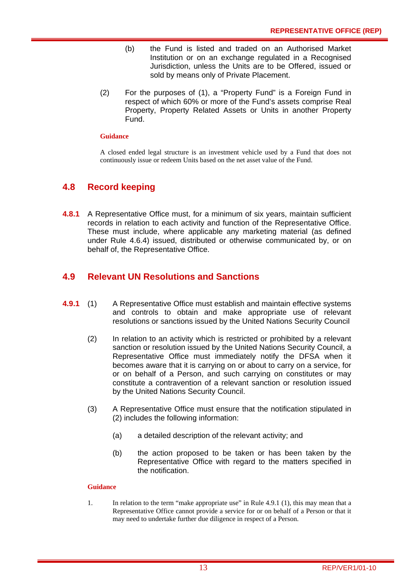- (b) the Fund is listed and traded on an Authorised Market Institution or on an exchange regulated in a Recognised Jurisdiction, unless the Units are to be Offered, issued or sold by means only of Private Placement.
- (2) For the purposes of (1), a "Property Fund" is a Foreign Fund in respect of which 60% or more of the Fund's assets comprise Real Property, Property Related Assets or Units in another Property Fund.

#### **Guidance**

A closed ended legal structure is an investment vehicle used by a Fund that does not continuously issue or redeem Units based on the net asset value of the Fund.

## **4.8 Record keeping**

**4.8.1** A Representative Office must, for a minimum of six years, maintain sufficient records in relation to each activity and function of the Representative Office. These must include, where applicable any marketing material (as defined under Rule 4.6.4) issued, distributed or otherwise communicated by, or on behalf of, the Representative Office.

## **4.9 Relevant UN Resolutions and Sanctions**

- **4.9.1** (1) A Representative Office must establish and maintain effective systems and controls to obtain and make appropriate use of relevant resolutions or sanctions issued by the United Nations Security Council
	- (2) In relation to an activity which is restricted or prohibited by a relevant sanction or resolution issued by the United Nations Security Council, a Representative Office must immediately notify the DFSA when it becomes aware that it is carrying on or about to carry on a service, for or on behalf of a Person, and such carrying on constitutes or may constitute a contravention of a relevant sanction or resolution issued by the United Nations Security Council.
	- (3) A Representative Office must ensure that the notification stipulated in (2) includes the following information:
		- (a) a detailed description of the relevant activity; and
		- (b) the action proposed to be taken or has been taken by the Representative Office with regard to the matters specified in the notification.

#### **Guidance**

1. In relation to the term "make appropriate use" in Rule 4.9.1 (1), this may mean that a Representative Office cannot provide a service for or on behalf of a Person or that it may need to undertake further due diligence in respect of a Person.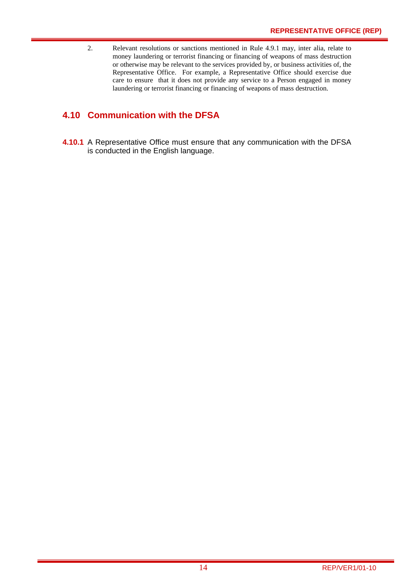2. Relevant resolutions or sanctions mentioned in Rule 4.9.1 may, inter alia, relate to money laundering or terrorist financing or financing of weapons of mass destruction or otherwise may be relevant to the services provided by, or business activities of, the Representative Office. For example, a Representative Office should exercise due care to ensure that it does not provide any service to a Person engaged in money laundering or terrorist financing or financing of weapons of mass destruction.

## **4.10 Communication with the DFSA**

**4.10.1** A Representative Office must ensure that any communication with the DFSA is conducted in the English language.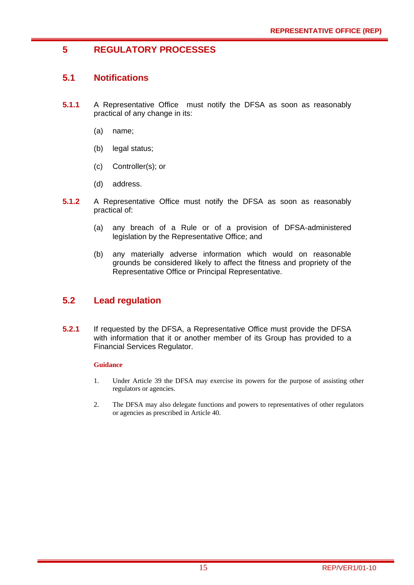## **5 REGULATORY PROCESSES**

## **5.1 Notifications**

- **5.1.1** A Representative Office must notify the DFSA as soon as reasonably practical of any change in its:
	- (a) name;
	- (b) legal status;
	- (c) Controller(s); or
	- (d) address.
- **5.1.2** A Representative Office must notify the DFSA as soon as reasonably practical of:
	- (a) any breach of a Rule or of a provision of DFSA-administered legislation by the Representative Office; and
	- (b) any materially adverse information which would on reasonable grounds be considered likely to affect the fitness and propriety of the Representative Office or Principal Representative.

## **5.2 Lead regulation**

**5.2.1** If requested by the DFSA, a Representative Office must provide the DFSA with information that it or another member of its Group has provided to a Financial Services Regulator.

#### **Guidance**

- 1. Under Article 39 the DFSA may exercise its powers for the purpose of assisting other regulators or agencies.
- 2. The DFSA may also delegate functions and powers to representatives of other regulators or agencies as prescribed in Article 40.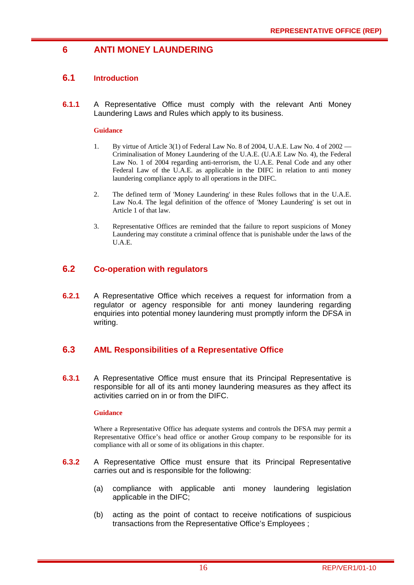## **6 ANTI MONEY LAUNDERING**

### **6.1 Introduction**

**6.1.1** A Representative Office must comply with the relevant Anti Money Laundering Laws and Rules which apply to its business.

#### **Guidance**

- 1. By virtue of Article 3(1) of Federal Law No. 8 of 2004, U.A.E. Law No. 4 of 2002 Criminalisation of Money Laundering of the U.A.E. (U.A.E Law No. 4), the Federal Law No. 1 of 2004 regarding anti-terrorism, the U.A.E. Penal Code and any other Federal Law of the U.A.E. as applicable in the DIFC in relation to anti money laundering compliance apply to all operations in the DIFC.
- 2. The defined term of 'Money Laundering' in these Rules follows that in the U.A.E. Law No.4. The legal definition of the offence of 'Money Laundering' is set out in Article 1 of that law.
- 3. Representative Offices are reminded that the failure to report suspicions of Money Laundering may constitute a criminal offence that is punishable under the laws of the U.A.E.

#### **6.2 Co-operation with regulators**

**6.2.1** A Representative Office which receives a request for information from a regulator or agency responsible for anti money laundering regarding enquiries into potential money laundering must promptly inform the DFSA in writing.

## **6.3 AML Responsibilities of a Representative Office**

**6.3.1** A Representative Office must ensure that its Principal Representative is responsible for all of its anti money laundering measures as they affect its activities carried on in or from the DIFC.

#### **Guidance**

Where a Representative Office has adequate systems and controls the DFSA may permit a Representative Office's head office or another Group company to be responsible for its compliance with all or some of its obligations in this chapter.

- **6.3.2** A Representative Office must ensure that its Principal Representative carries out and is responsible for the following:
	- (a) compliance with applicable anti money laundering legislation applicable in the DIFC;
	- (b) acting as the point of contact to receive notifications of suspicious transactions from the Representative Office's Employees ;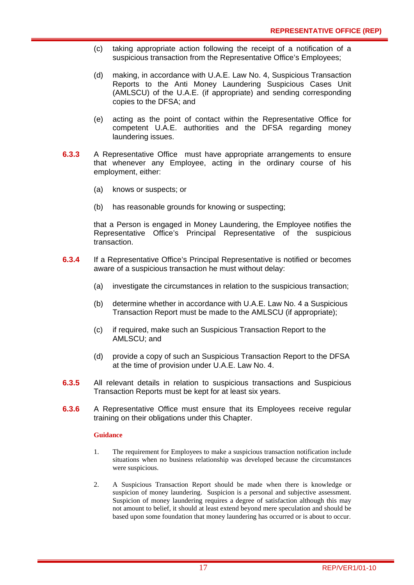- (c) taking appropriate action following the receipt of a notification of a suspicious transaction from the Representative Office's Employees;
- (d) making, in accordance with U.A.E. Law No. 4, Suspicious Transaction Reports to the Anti Money Laundering Suspicious Cases Unit (AMLSCU) of the U.A.E. (if appropriate) and sending corresponding copies to the DFSA; and
- (e) acting as the point of contact within the Representative Office for competent U.A.E. authorities and the DFSA regarding money laundering issues.
- **6.3.3** A Representative Office must have appropriate arrangements to ensure that whenever any Employee, acting in the ordinary course of his employment, either:
	- (a) knows or suspects; or
	- (b) has reasonable grounds for knowing or suspecting;

that a Person is engaged in Money Laundering, the Employee notifies the Representative Office's Principal Representative of the suspicious transaction.

- **6.3.4** If a Representative Office's Principal Representative is notified or becomes aware of a suspicious transaction he must without delay:
	- (a) investigate the circumstances in relation to the suspicious transaction;
	- (b) determine whether in accordance with U.A.E. Law No. 4 a Suspicious Transaction Report must be made to the AMLSCU (if appropriate);
	- (c) if required, make such an Suspicious Transaction Report to the AMLSCU; and
	- (d) provide a copy of such an Suspicious Transaction Report to the DFSA at the time of provision under U.A.E. Law No. 4.
- **6.3.5** All relevant details in relation to suspicious transactions and Suspicious Transaction Reports must be kept for at least six years.
- **6.3.6** A Representative Office must ensure that its Employees receive regular training on their obligations under this Chapter.

#### **Guidance**

- 1. The requirement for Employees to make a suspicious transaction notification include situations when no business relationship was developed because the circumstances were suspicious.
- 2. A Suspicious Transaction Report should be made when there is knowledge or suspicion of money laundering. Suspicion is a personal and subjective assessment. Suspicion of money laundering requires a degree of satisfaction although this may not amount to belief, it should at least extend beyond mere speculation and should be based upon some foundation that money laundering has occurred or is about to occur.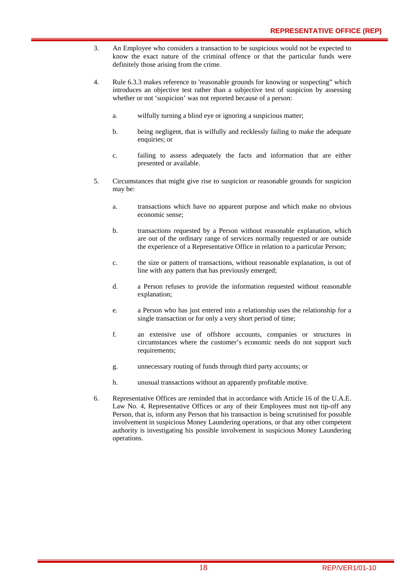- 3. An Employee who considers a transaction to be suspicious would not be expected to know the exact nature of the criminal offence or that the particular funds were definitely those arising from the crime.
- 4. Rule 6.3.3 makes reference to 'reasonable grounds for knowing or suspecting" which introduces an objective test rather than a subjective test of suspicion by assessing whether or not 'suspicion' was not reported because of a person:
	- a. wilfully turning a blind eye or ignoring a suspicious matter;
	- b. being negligent, that is wilfully and recklessly failing to make the adequate enquiries; or
	- c. failing to assess adequately the facts and information that are either presented or available.
- 5. Circumstances that might give rise to suspicion or reasonable grounds for suspicion may be:
	- a. transactions which have no apparent purpose and which make no obvious economic sense;
	- b. transactions requested by a Person without reasonable explanation, which are out of the ordinary range of services normally requested or are outside the experience of a Representative Office in relation to a particular Person;
	- c. the size or pattern of transactions, without reasonable explanation, is out of line with any pattern that has previously emerged;
	- d. a Person refuses to provide the information requested without reasonable explanation;
	- e. a Person who has just entered into a relationship uses the relationship for a single transaction or for only a very short period of time;
	- f. an extensive use of offshore accounts, companies or structures in circumstances where the customer's economic needs do not support such requirements;
	- g. unnecessary routing of funds through third party accounts; or
	- h. unusual transactions without an apparently profitable motive.
- 6. Representative Offices are reminded that in accordance with Article 16 of the U.A.E. Law No. 4, Representative Offices or any of their Employees must not tip-off any Person, that is, inform any Person that his transaction is being scrutinised for possible involvement in suspicious Money Laundering operations, or that any other competent authority is investigating his possible involvement in suspicious Money Laundering operations.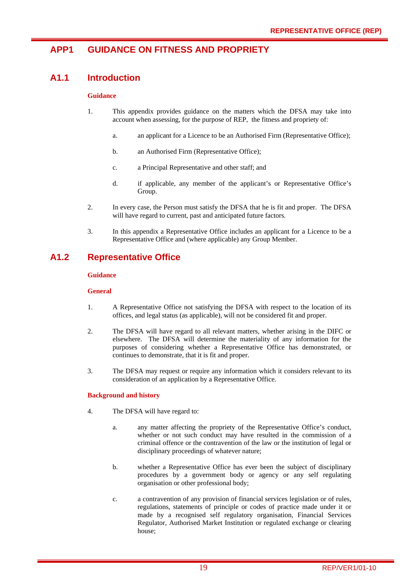## **APP1 GUIDANCE ON FITNESS AND PROPRIETY**

## **A1.1 Introduction**

#### **Guidance**

- 1. This appendix provides guidance on the matters which the DFSA may take into account when assessing, for the purpose of REP, the fitness and propriety of:
	- a. an applicant for a Licence to be an Authorised Firm (Representative Office);
	- b. an Authorised Firm (Representative Office);
	- c. a Principal Representative and other staff; and
	- d. if applicable, any member of the applicant's or Representative Office's Group.
- 2. In every case, the Person must satisfy the DFSA that he is fit and proper. The DFSA will have regard to current, past and anticipated future factors.
- 3. In this appendix a Representative Office includes an applicant for a Licence to be a Representative Office and (where applicable) any Group Member.

## **A1.2 Representative Office**

#### **Guidance**

#### **General**

- 1. A Representative Office not satisfying the DFSA with respect to the location of its offices, and legal status (as applicable), will not be considered fit and proper.
- 2. The DFSA will have regard to all relevant matters, whether arising in the DIFC or elsewhere. The DFSA will determine the materiality of any information for the purposes of considering whether a Representative Office has demonstrated, or continues to demonstrate, that it is fit and proper.
- 3. The DFSA may request or require any information which it considers relevant to its consideration of an application by a Representative Office.

#### **Background and history**

- 4. The DFSA will have regard to:
	- a. any matter affecting the propriety of the Representative Office's conduct, whether or not such conduct may have resulted in the commission of a criminal offence or the contravention of the law or the institution of legal or disciplinary proceedings of whatever nature;
	- b. whether a Representative Office has ever been the subject of disciplinary procedures by a government body or agency or any self regulating organisation or other professional body;
	- c. a contravention of any provision of financial services legislation or of rules, regulations, statements of principle or codes of practice made under it or made by a recognised self regulatory organisation, Financial Services Regulator, Authorised Market Institution or regulated exchange or clearing house;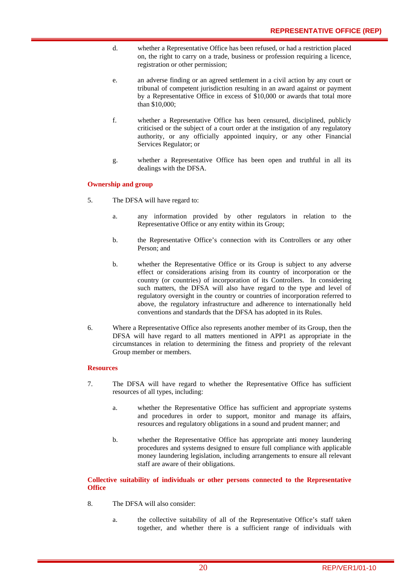- d. whether a Representative Office has been refused, or had a restriction placed on, the right to carry on a trade, business or profession requiring a licence, registration or other permission;
- e. an adverse finding or an agreed settlement in a civil action by any court or tribunal of competent jurisdiction resulting in an award against or payment by a Representative Office in excess of \$10,000 or awards that total more than \$10,000;
- f. whether a Representative Office has been censured, disciplined, publicly criticised or the subject of a court order at the instigation of any regulatory authority, or any officially appointed inquiry, or any other Financial Services Regulator; or
- g. whether a Representative Office has been open and truthful in all its dealings with the DFSA.

#### **Ownership and group**

- 5. The DFSA will have regard to:
	- a. any information provided by other regulators in relation to the Representative Office or any entity within its Group;
	- b. the Representative Office's connection with its Controllers or any other Person; and
	- b. whether the Representative Office or its Group is subject to any adverse effect or considerations arising from its country of incorporation or the country (or countries) of incorporation of its Controllers. In considering such matters, the DFSA will also have regard to the type and level of regulatory oversight in the country or countries of incorporation referred to above, the regulatory infrastructure and adherence to internationally held conventions and standards that the DFSA has adopted in its Rules.
- 6. Where a Representative Office also represents another member of its Group, then the DFSA will have regard to all matters mentioned in APP1 as appropriate in the circumstances in relation to determining the fitness and propriety of the relevant Group member or members.

#### **Resources**

- 7. The DFSA will have regard to whether the Representative Office has sufficient resources of all types, including:
	- a. whether the Representative Office has sufficient and appropriate systems and procedures in order to support, monitor and manage its affairs, resources and regulatory obligations in a sound and prudent manner; and
	- b. whether the Representative Office has appropriate anti money laundering procedures and systems designed to ensure full compliance with applicable money laundering legislation, including arrangements to ensure all relevant staff are aware of their obligations.

**Collective suitability of individuals or other persons connected to the Representative Office** 

- 8. The DFSA will also consider:
	- a. the collective suitability of all of the Representative Office's staff taken together, and whether there is a sufficient range of individuals with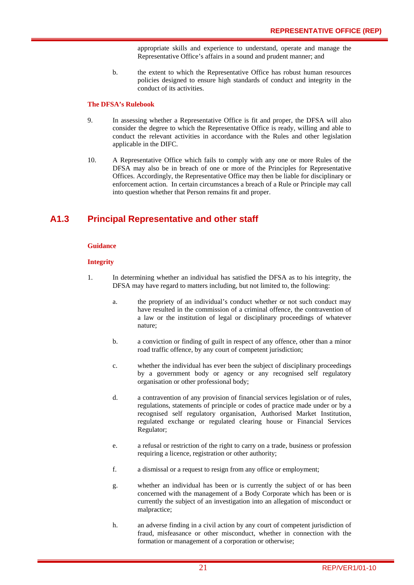appropriate skills and experience to understand, operate and manage the Representative Office's affairs in a sound and prudent manner; and

b. the extent to which the Representative Office has robust human resources policies designed to ensure high standards of conduct and integrity in the conduct of its activities.

#### **The DFSA's Rulebook**

- 9. In assessing whether a Representative Office is fit and proper, the DFSA will also consider the degree to which the Representative Office is ready, willing and able to conduct the relevant activities in accordance with the Rules and other legislation applicable in the DIFC.
- 10. A Representative Office which fails to comply with any one or more Rules of the DFSA may also be in breach of one or more of the Principles for Representative Offices. Accordingly, the Representative Office may then be liable for disciplinary or enforcement action. In certain circumstances a breach of a Rule or Principle may call into question whether that Person remains fit and proper.

## **A1.3 Principal Representative and other staff**

#### **Guidance**

#### **Integrity**

- 1. In determining whether an individual has satisfied the DFSA as to his integrity, the DFSA may have regard to matters including, but not limited to, the following:
	- a. the propriety of an individual's conduct whether or not such conduct may have resulted in the commission of a criminal offence, the contravention of a law or the institution of legal or disciplinary proceedings of whatever nature;
	- b. a conviction or finding of guilt in respect of any offence, other than a minor road traffic offence, by any court of competent jurisdiction;
	- c. whether the individual has ever been the subject of disciplinary proceedings by a government body or agency or any recognised self regulatory organisation or other professional body;
	- d. a contravention of any provision of financial services legislation or of rules, regulations, statements of principle or codes of practice made under or by a recognised self regulatory organisation, Authorised Market Institution, regulated exchange or regulated clearing house or Financial Services Regulator;
	- e. a refusal or restriction of the right to carry on a trade, business or profession requiring a licence, registration or other authority;
	- f. a dismissal or a request to resign from any office or employment;
	- g. whether an individual has been or is currently the subject of or has been concerned with the management of a Body Corporate which has been or is currently the subject of an investigation into an allegation of misconduct or malpractice;
	- h. an adverse finding in a civil action by any court of competent jurisdiction of fraud, misfeasance or other misconduct, whether in connection with the formation or management of a corporation or otherwise;